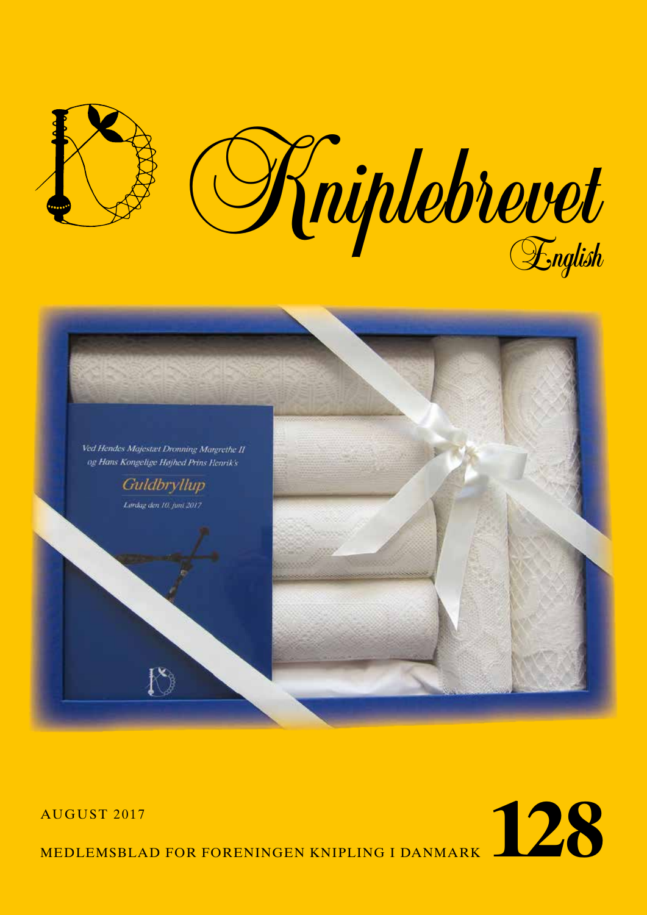





MEDLEMSBLAD FOR FORENINGEN KNIPLING I DANMARK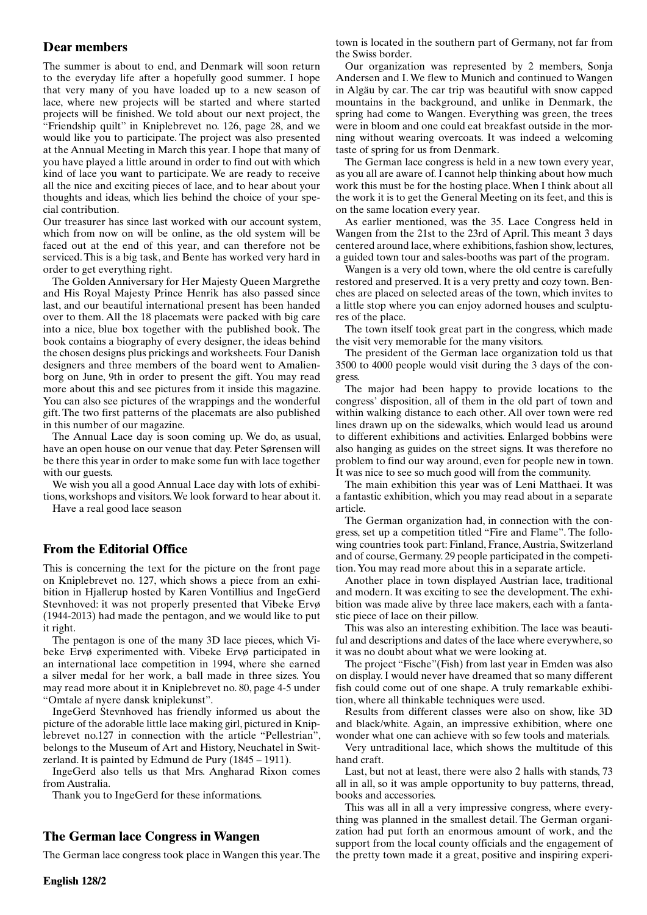## **Dear members**

The summer is about to end, and Denmark will soon return to the everyday life after a hopefully good summer. I hope that very many of you have loaded up to a new season of lace, where new projects will be started and where started projects will be finished. We told about our next project, the "Friendship quilt" in Kniplebrevet no. 126, page 28, and we would like you to participate. The project was also presented at the Annual Meeting in March this year. I hope that many of you have played a little around in order to find out with which kind of lace you want to participate. We are ready to receive all the nice and exciting pieces of lace, and to hear about your thoughts and ideas, which lies behind the choice of your special contribution.

Our treasurer has since last worked with our account system, which from now on will be online, as the old system will be faced out at the end of this year, and can therefore not be serviced. This is a big task, and Bente has worked very hard in order to get everything right.

The Golden Anniversary for Her Majesty Queen Margrethe and His Royal Majesty Prince Henrik has also passed since last, and our beautiful international present has been handed over to them. All the 18 placemats were packed with big care into a nice, blue box together with the published book. The book contains a biography of every designer, the ideas behind the chosen designs plus prickings and worksheets. Four Danish designers and three members of the board went to Amalienborg on June, 9th in order to present the gift. You may read more about this and see pictures from it inside this magazine. You can also see pictures of the wrappings and the wonderful gift. The two first patterns of the placemats are also published in this number of our magazine.

The Annual Lace day is soon coming up. We do, as usual, have an open house on our venue that day. Peter Sørensen will be there this year in order to make some fun with lace together with our guests.

We wish you all a good Annual Lace day with lots of exhibitions, workshops and visitors. We look forward to hear about it.

Have a real good lace season

## **From the Editorial Office**

This is concerning the text for the picture on the front page on Kniplebrevet no. 127, which shows a piece from an exhibition in Hjallerup hosted by Karen Vontillius and IngeGerd Stevnhoved: it was not properly presented that Vibeke Ervø (1944-2013) had made the pentagon, and we would like to put it right.

The pentagon is one of the many 3D lace pieces, which Vibeke Ervø experimented with. Vibeke Ervø participated in an international lace competition in 1994, where she earned a silver medal for her work, a ball made in three sizes. You may read more about it in Kniplebrevet no. 80, page 4-5 under "Omtale af nyere dansk kniplekunst".

IngeGerd Stevnhoved has friendly informed us about the picture of the adorable little lace making girl, pictured in Kniplebrevet no.127 in connection with the article "Pellestrian", belongs to the Museum of Art and History, Neuchatel in Switzerland. It is painted by Edmund de Pury (1845 – 1911).

IngeGerd also tells us that Mrs. Angharad Rixon comes from Australia.

Thank you to IngeGerd for these informations.

## **The German lace Congress in Wangen**

The German lace congress took place in Wangen this year. The

town is located in the southern part of Germany, not far from the Swiss border.

Our organization was represented by 2 members, Sonja Andersen and I. We flew to Munich and continued to Wangen in Algäu by car. The car trip was beautiful with snow capped mountains in the background, and unlike in Denmark, the spring had come to Wangen. Everything was green, the trees were in bloom and one could eat breakfast outside in the morning without wearing overcoats. It was indeed a welcoming taste of spring for us from Denmark.

The German lace congress is held in a new town every year, as you all are aware of. I cannot help thinking about how much work this must be for the hosting place. When I think about all the work it is to get the General Meeting on its feet, and this is on the same location every year.

As earlier mentioned, was the 35. Lace Congress held in Wangen from the 21st to the 23rd of April. This meant 3 days centered around lace, where exhibitions, fashion show, lectures, a guided town tour and sales-booths was part of the program.

Wangen is a very old town, where the old centre is carefully restored and preserved. It is a very pretty and cozy town. Benches are placed on selected areas of the town, which invites to a little stop where you can enjoy adorned houses and sculptures of the place.

The town itself took great part in the congress, which made the visit very memorable for the many visitors.

The president of the German lace organization told us that 3500 to 4000 people would visit during the 3 days of the congress.

The major had been happy to provide locations to the congress' disposition, all of them in the old part of town and within walking distance to each other. All over town were red lines drawn up on the sidewalks, which would lead us around to different exhibitions and activities. Enlarged bobbins were also hanging as guides on the street signs. It was therefore no problem to find our way around, even for people new in town. It was nice to see so much good will from the community.

The main exhibition this year was of Leni Matthaei. It was a fantastic exhibition, which you may read about in a separate article.

The German organization had, in connection with the congress, set up a competition titled "Fire and Flame". The following countries took part: Finland, France, Austria, Switzerland and of course, Germany. 29 people participated in the competition. You may read more about this in a separate article.

Another place in town displayed Austrian lace, traditional and modern. It was exciting to see the development. The exhibition was made alive by three lace makers, each with a fantastic piece of lace on their pillow.

This was also an interesting exhibition. The lace was beautiful and descriptions and dates of the lace where everywhere, so it was no doubt about what we were looking at.

The project "Fische"(Fish) from last year in Emden was also on display. I would never have dreamed that so many different fish could come out of one shape. A truly remarkable exhibition, where all thinkable techniques were used.

Results from different classes were also on show, like 3D and black/white. Again, an impressive exhibition, where one wonder what one can achieve with so few tools and materials.

Very untraditional lace, which shows the multitude of this hand craft.

Last, but not at least, there were also 2 halls with stands, 73 all in all, so it was ample opportunity to buy patterns, thread, books and accessories.

This was all in all a very impressive congress, where everything was planned in the smallest detail. The German organization had put forth an enormous amount of work, and the support from the local county officials and the engagement of the pretty town made it a great, positive and inspiring experi-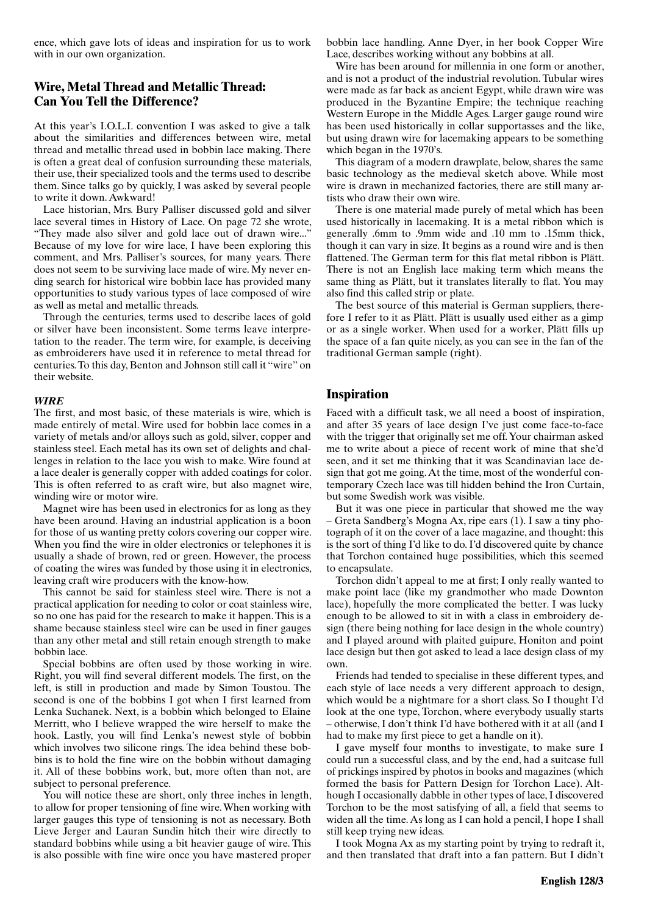ence, which gave lots of ideas and inspiration for us to work with in our own organization.

# **Wire, Metal Thread and Metallic Thread: Can You Tell the Difference?**

At this year's I.O.L.I. convention I was asked to give a talk about the similarities and differences between wire, metal thread and metallic thread used in bobbin lace making. There is often a great deal of confusion surrounding these materials, their use, their specialized tools and the terms used to describe them. Since talks go by quickly, I was asked by several people to write it down. Awkward!

Lace historian, Mrs. Bury Palliser discussed gold and silver lace several times in History of Lace. On page 72 she wrote, "They made also silver and gold lace out of drawn wire..." Because of my love for wire lace, I have been exploring this comment, and Mrs. Palliser's sources, for many years. There does not seem to be surviving lace made of wire. My never ending search for historical wire bobbin lace has provided many opportunities to study various types of lace composed of wire as well as metal and metallic threads.

Through the centuries, terms used to describe laces of gold or silver have been inconsistent. Some terms leave interpretation to the reader. The term wire, for example, is deceiving as embroiderers have used it in reference to metal thread for centuries. To this day, Benton and Johnson still call it "wire" on their website.

### *WIRE*

The first, and most basic, of these materials is wire, which is made entirely of metal. Wire used for bobbin lace comes in a variety of metals and/or alloys such as gold, silver, copper and stainless steel. Each metal has its own set of delights and challenges in relation to the lace you wish to make. Wire found at a lace dealer is generally copper with added coatings for color. This is often referred to as craft wire, but also magnet wire, winding wire or motor wire.

Magnet wire has been used in electronics for as long as they have been around. Having an industrial application is a boon for those of us wanting pretty colors covering our copper wire. When you find the wire in older electronics or telephones it is usually a shade of brown, red or green. However, the process of coating the wires was funded by those using it in electronics, leaving craft wire producers with the know-how.

This cannot be said for stainless steel wire. There is not a practical application for needing to color or coat stainless wire, so no one has paid for the research to make it happen. This is a shame because stainless steel wire can be used in finer gauges than any other metal and still retain enough strength to make bobbin lace.

Special bobbins are often used by those working in wire. Right, you will find several different models. The first, on the left, is still in production and made by Simon Toustou. The second is one of the bobbins I got when I first learned from Lenka Suchanek. Next, is a bobbin which belonged to Elaine Merritt, who I believe wrapped the wire herself to make the hook. Lastly, you will find Lenka's newest style of bobbin which involves two silicone rings. The idea behind these bobbins is to hold the fine wire on the bobbin without damaging it. All of these bobbins work, but, more often than not, are subject to personal preference.

You will notice these are short, only three inches in length, to allow for proper tensioning of fine wire. When working with larger gauges this type of tensioning is not as necessary. Both Lieve Jerger and Lauran Sundin hitch their wire directly to standard bobbins while using a bit heavier gauge of wire. This is also possible with fine wire once you have mastered proper

bobbin lace handling. Anne Dyer, in her book Copper Wire Lace, describes working without any bobbins at all.

Wire has been around for millennia in one form or another, and is not a product of the industrial revolution. Tubular wires were made as far back as ancient Egypt, while drawn wire was produced in the Byzantine Empire; the technique reaching Western Europe in the Middle Ages. Larger gauge round wire has been used historically in collar supportasses and the like, but using drawn wire for lacemaking appears to be something which began in the 1970's.

This diagram of a modern drawplate, below, shares the same basic technology as the medieval sketch above. While most wire is drawn in mechanized factories, there are still many artists who draw their own wire.

There is one material made purely of metal which has been used historically in lacemaking. It is a metal ribbon which is generally .6mm to .9mm wide and .10 mm to .15mm thick, though it can vary in size. It begins as a round wire and is then flattened. The German term for this flat metal ribbon is Plätt. There is not an English lace making term which means the same thing as Plätt, but it translates literally to flat. You may also find this called strip or plate.

The best source of this material is German suppliers, therefore I refer to it as Plätt. Plätt is usually used either as a gimp or as a single worker. When used for a worker, Plätt fills up the space of a fan quite nicely, as you can see in the fan of the traditional German sample (right).

## **Inspiration**

Faced with a difficult task, we all need a boost of inspiration, and after 35 years of lace design I've just come face-to-face with the trigger that originally set me off. Your chairman asked me to write about a piece of recent work of mine that she'd seen, and it set me thinking that it was Scandinavian lace design that got me going. At the time, most of the wonderful contemporary Czech lace was till hidden behind the Iron Curtain, but some Swedish work was visible.

But it was one piece in particular that showed me the way – Greta Sandberg's Mogna Ax, ripe ears (1). I saw a tiny photograph of it on the cover of a lace magazine, and thought: this is the sort of thing I'd like to do. I'd discovered quite by chance that Torchon contained huge possibilities, which this seemed to encapsulate.

Torchon didn't appeal to me at first; I only really wanted to make point lace (like my grandmother who made Downton lace), hopefully the more complicated the better. I was lucky enough to be allowed to sit in with a class in embroidery design (there being nothing for lace design in the whole country) and I played around with plaited guipure, Honiton and point lace design but then got asked to lead a lace design class of my own.

Friends had tended to specialise in these different types, and each style of lace needs a very different approach to design, which would be a nightmare for a short class. So I thought I'd look at the one type, Torchon, where everybody usually starts – otherwise, I don't think I'd have bothered with it at all (and I had to make my first piece to get a handle on it).

I gave myself four months to investigate, to make sure I could run a successful class, and by the end, had a suitcase full of prickings inspired by photos in books and magazines (which formed the basis for Pattern Design for Torchon Lace). Although I occasionally dabble in other types of lace, I discovered Torchon to be the most satisfying of all, a field that seems to widen all the time. As long as I can hold a pencil, I hope I shall still keep trying new ideas.

I took Mogna Ax as my starting point by trying to redraft it, and then translated that draft into a fan pattern. But I didn't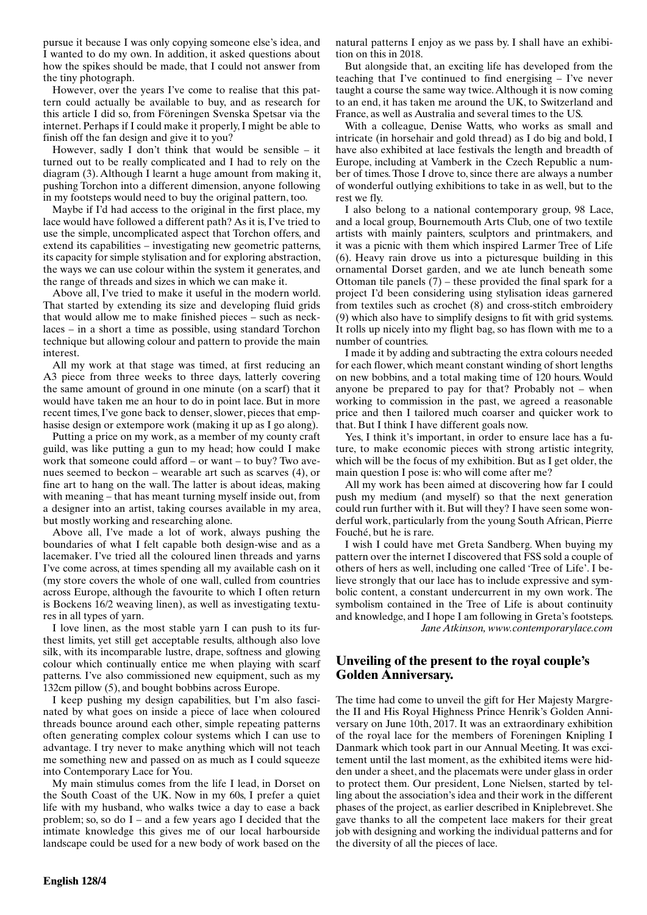pursue it because I was only copying someone else's idea, and I wanted to do my own. In addition, it asked questions about how the spikes should be made, that I could not answer from the tiny photograph.

However, over the years I've come to realise that this pattern could actually be available to buy, and as research for this article I did so, from Föreningen Svenska Spetsar via the internet. Perhaps if I could make it properly, I might be able to finish off the fan design and give it to you?

However, sadly I don't think that would be sensible – it turned out to be really complicated and I had to rely on the diagram (3). Although I learnt a huge amount from making it, pushing Torchon into a different dimension, anyone following in my footsteps would need to buy the original pattern, too.

Maybe if I'd had access to the original in the first place, my lace would have followed a different path? As it is, I've tried to use the simple, uncomplicated aspect that Torchon offers, and extend its capabilities – investigating new geometric patterns, its capacity for simple stylisation and for exploring abstraction, the ways we can use colour within the system it generates, and the range of threads and sizes in which we can make it.

Above all, I've tried to make it useful in the modern world. That started by extending its size and developing fluid grids that would allow me to make finished pieces – such as necklaces – in a short a time as possible, using standard Torchon technique but allowing colour and pattern to provide the main interest.

All my work at that stage was timed, at first reducing an A3 piece from three weeks to three days, latterly covering the same amount of ground in one minute (on a scarf) that it would have taken me an hour to do in point lace. But in more recent times, I've gone back to denser, slower, pieces that emphasise design or extempore work (making it up as I go along).

Putting a price on my work, as a member of my county craft guild, was like putting a gun to my head; how could I make work that someone could afford – or want – to buy? Two avenues seemed to beckon – wearable art such as scarves (4), or fine art to hang on the wall. The latter is about ideas, making with meaning – that has meant turning myself inside out, from a designer into an artist, taking courses available in my area, but mostly working and researching alone.

Above all, I've made a lot of work, always pushing the boundaries of what I felt capable both design-wise and as a lacemaker. I've tried all the coloured linen threads and yarns I've come across, at times spending all my available cash on it (my store covers the whole of one wall, culled from countries across Europe, although the favourite to which I often return is Bockens 16/2 weaving linen), as well as investigating textures in all types of yarn.

I love linen, as the most stable yarn I can push to its furthest limits, yet still get acceptable results, although also love silk, with its incomparable lustre, drape, softness and glowing colour which continually entice me when playing with scarf patterns. I've also commissioned new equipment, such as my 132cm pillow (5), and bought bobbins across Europe.

I keep pushing my design capabilities, but I'm also fascinated by what goes on inside a piece of lace when coloured threads bounce around each other, simple repeating patterns often generating complex colour systems which I can use to advantage. I try never to make anything which will not teach me something new and passed on as much as I could squeeze into Contemporary Lace for You.

My main stimulus comes from the life I lead, in Dorset on the South Coast of the UK. Now in my 60s, I prefer a quiet life with my husband, who walks twice a day to ease a back problem; so, so do I – and a few years ago I decided that the intimate knowledge this gives me of our local harbourside landscape could be used for a new body of work based on the natural patterns I enjoy as we pass by. I shall have an exhibition on this in 2018.

But alongside that, an exciting life has developed from the teaching that I've continued to find energising – I've never taught a course the same way twice. Although it is now coming to an end, it has taken me around the UK, to Switzerland and France, as well as Australia and several times to the US.

With a colleague, Denise Watts, who works as small and intricate (in horsehair and gold thread) as I do big and bold, I have also exhibited at lace festivals the length and breadth of Europe, including at Vamberk in the Czech Republic a number of times. Those I drove to, since there are always a number of wonderful outlying exhibitions to take in as well, but to the rest we fly.

I also belong to a national contemporary group, 98 Lace, and a local group, Bournemouth Arts Club, one of two textile artists with mainly painters, sculptors and printmakers, and it was a picnic with them which inspired Larmer Tree of Life (6). Heavy rain drove us into a picturesque building in this ornamental Dorset garden, and we ate lunch beneath some Ottoman tile panels (7) – these provided the final spark for a project I'd been considering using stylisation ideas garnered from textiles such as crochet (8) and cross-stitch embroidery (9) which also have to simplify designs to fit with grid systems. It rolls up nicely into my flight bag, so has flown with me to a number of countries.

I made it by adding and subtracting the extra colours needed for each flower, which meant constant winding of short lengths on new bobbins, and a total making time of 120 hours. Would anyone be prepared to pay for that? Probably not – when working to commission in the past, we agreed a reasonable price and then I tailored much coarser and quicker work to that. But I think I have different goals now.

Yes, I think it's important, in order to ensure lace has a future, to make economic pieces with strong artistic integrity, which will be the focus of my exhibition. But as I get older, the main question I pose is: who will come after me?

All my work has been aimed at discovering how far I could push my medium (and myself) so that the next generation could run further with it. But will they? I have seen some wonderful work, particularly from the young South African, Pierre Fouché, but he is rare.

I wish I could have met Greta Sandberg. When buying my pattern over the internet I discovered that FSS sold a couple of others of hers as well, including one called 'Tree of Life'. I believe strongly that our lace has to include expressive and symbolic content, a constant undercurrent in my own work. The symbolism contained in the Tree of Life is about continuity and knowledge, and I hope I am following in Greta's footsteps. *Jane Atkinson, www.contemporarylace.com*

# **Unveiling of the present to the royal couple's Golden Anniversary.**

The time had come to unveil the gift for Her Majesty Margrethe II and His Royal Highness Prince Henrik's Golden Anniversary on June 10th, 2017. It was an extraordinary exhibition of the royal lace for the members of Foreningen Knipling I Danmark which took part in our Annual Meeting. It was excitement until the last moment, as the exhibited items were hidden under a sheet, and the placemats were under glass in order to protect them. Our president, Lone Nielsen, started by telling about the association's idea and their work in the different phases of the project, as earlier described in Kniplebrevet. She gave thanks to all the competent lace makers for their great job with designing and working the individual patterns and for the diversity of all the pieces of lace.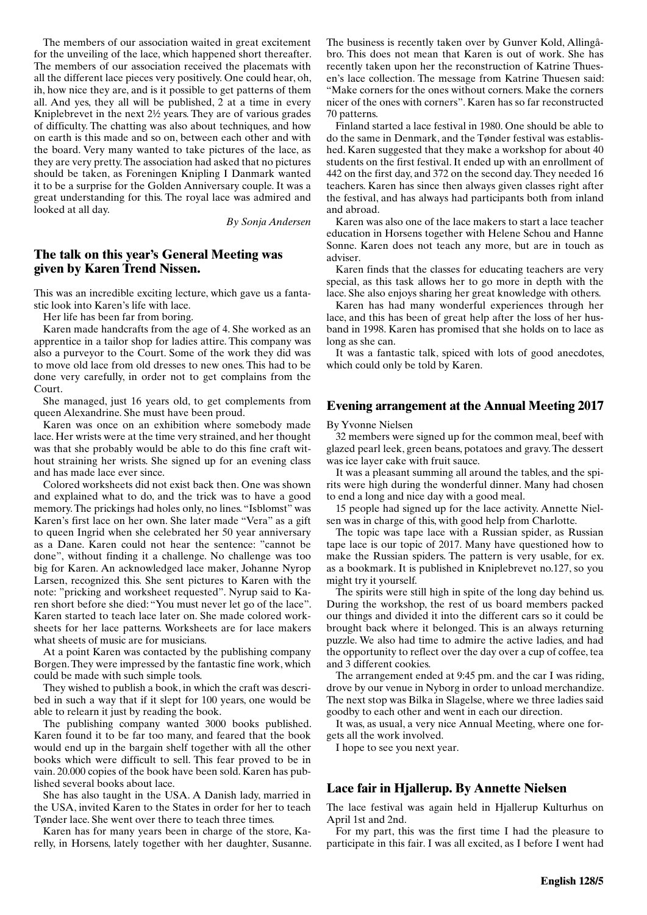The members of our association waited in great excitement for the unveiling of the lace, which happened short thereafter. The members of our association received the placemats with all the different lace pieces very positively. One could hear, oh, ih, how nice they are, and is it possible to get patterns of them all. And yes, they all will be published, 2 at a time in every Kniplebrevet in the next 2½ years. They are of various grades of difficulty. The chatting was also about techniques, and how on earth is this made and so on, between each other and with the board. Very many wanted to take pictures of the lace, as they are very pretty. The association had asked that no pictures should be taken, as Foreningen Knipling I Danmark wanted it to be a surprise for the Golden Anniversary couple. It was a great understanding for this. The royal lace was admired and looked at all day.

*By Sonja Andersen*

## **The talk on this year's General Meeting was given by Karen Trend Nissen.**

This was an incredible exciting lecture, which gave us a fantastic look into Karen's life with lace.

Her life has been far from boring.

Karen made handcrafts from the age of 4. She worked as an apprentice in a tailor shop for ladies attire. This company was also a purveyor to the Court. Some of the work they did was to move old lace from old dresses to new ones. This had to be done very carefully, in order not to get complains from the Court.

She managed, just 16 years old, to get complements from queen Alexandrine. She must have been proud.

Karen was once on an exhibition where somebody made lace. Her wrists were at the time very strained, and her thought was that she probably would be able to do this fine craft without straining her wrists. She signed up for an evening class and has made lace ever since.

Colored worksheets did not exist back then. One was shown and explained what to do, and the trick was to have a good memory. The prickings had holes only, no lines. "Isblomst" was Karen's first lace on her own. She later made "Vera" as a gift to queen Ingrid when she celebrated her 50 year anniversary as a Dane. Karen could not hear the sentence: "cannot be done", without finding it a challenge. No challenge was too big for Karen. An acknowledged lace maker, Johanne Nyrop Larsen, recognized this. She sent pictures to Karen with the note: "pricking and worksheet requested". Nyrup said to Karen short before she died: "You must never let go of the lace". Karen started to teach lace later on. She made colored worksheets for her lace patterns. Worksheets are for lace makers what sheets of music are for musicians.

At a point Karen was contacted by the publishing company Borgen. They were impressed by the fantastic fine work, which could be made with such simple tools.

They wished to publish a book, in which the craft was described in such a way that if it slept for 100 years, one would be able to relearn it just by reading the book.

The publishing company wanted 3000 books published. Karen found it to be far too many, and feared that the book would end up in the bargain shelf together with all the other books which were difficult to sell. This fear proved to be in vain. 20.000 copies of the book have been sold. Karen has published several books about lace.

She has also taught in the USA. A Danish lady, married in the USA, invited Karen to the States in order for her to teach Tønder lace. She went over there to teach three times.

Karen has for many years been in charge of the store, Karelly, in Horsens, lately together with her daughter, Susanne.

The business is recently taken over by Gunver Kold, Allingåbro. This does not mean that Karen is out of work. She has recently taken upon her the reconstruction of Katrine Thuesen's lace collection. The message from Katrine Thuesen said: "Make corners for the ones without corners. Make the corners nicer of the ones with corners". Karen has so far reconstructed 70 patterns.

Finland started a lace festival in 1980. One should be able to do the same in Denmark, and the Tønder festival was established. Karen suggested that they make a workshop for about 40 students on the first festival. It ended up with an enrollment of 442 on the first day, and 372 on the second day. They needed 16 teachers. Karen has since then always given classes right after the festival, and has always had participants both from inland and abroad.

Karen was also one of the lace makers to start a lace teacher education in Horsens together with Helene Schou and Hanne Sonne. Karen does not teach any more, but are in touch as adviser.

Karen finds that the classes for educating teachers are very special, as this task allows her to go more in depth with the lace. She also enjoys sharing her great knowledge with others.

Karen has had many wonderful experiences through her lace, and this has been of great help after the loss of her husband in 1998. Karen has promised that she holds on to lace as long as she can.

It was a fantastic talk, spiced with lots of good anecdotes, which could only be told by Karen.

## **Evening arrangement at the Annual Meeting 2017**

By Yvonne Nielsen

32 members were signed up for the common meal, beef with glazed pearl leek, green beans, potatoes and gravy. The dessert was ice layer cake with fruit sauce.

It was a pleasant summing all around the tables, and the spirits were high during the wonderful dinner. Many had chosen to end a long and nice day with a good meal.

15 people had signed up for the lace activity. Annette Nielsen was in charge of this, with good help from Charlotte.

The topic was tape lace with a Russian spider, as Russian tape lace is our topic of 2017. Many have questioned how to make the Russian spiders. The pattern is very usable, for ex. as a bookmark. It is published in Kniplebrevet no.127, so you might try it yourself.

The spirits were still high in spite of the long day behind us. During the workshop, the rest of us board members packed our things and divided it into the different cars so it could be brought back where it belonged. This is an always returning puzzle. We also had time to admire the active ladies, and had the opportunity to reflect over the day over a cup of coffee, tea and 3 different cookies.

The arrangement ended at 9:45 pm. and the car I was riding, drove by our venue in Nyborg in order to unload merchandize. The next stop was Bilka in Slagelse, where we three ladies said goodby to each other and went in each our direction.

It was, as usual, a very nice Annual Meeting, where one forgets all the work involved.

I hope to see you next year.

## **Lace fair in Hjallerup. By Annette Nielsen**

The lace festival was again held in Hjallerup Kulturhus on April 1st and 2nd.

For my part, this was the first time I had the pleasure to participate in this fair. I was all excited, as I before I went had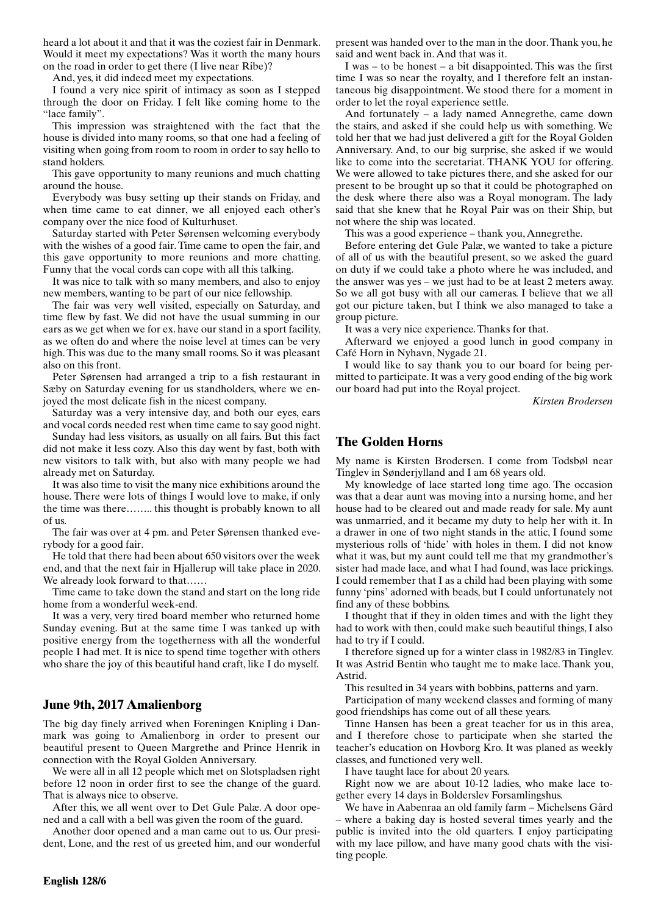heard a lot about it and that it was the coziest fair in Denmark. Would it meet my expectations? Was it worth the many hours on the road in order to get there (I live near Ribe)?

And, yes, it did indeed meet my expectations.

I found a very nice spirit of intimacy as soon as I stepped through the door on Friday. I felt like coming home to the "lace family".

This impression was straightened with the fact that the house is divided into many rooms, so that one had a feeling of visiting when going from room to room in order to say hello to stand holders.

This gave opportunity to many reunions and much chatting around the house.

Everybody was busy setting up their stands on Friday, and when time came to eat dinner, we all enjoyed each other's company over the nice food of Kulturhuset.

Saturday started with Peter Sørensen welcoming everybody with the wishes of a good fair. Time came to open the fair, and this gave opportunity to more reunions and more chatting. Funny that the vocal cords can cope with all this talking.

It was nice to talk with so many members, and also to enjoy new members, wanting to be part of our nice fellowship.

The fair was very well visited, especially on Saturday, and time flew by fast. We did not have the usual summing in our ears as we get when we for ex. have our stand in a sport facility, as we often do and where the noise level at times can be very high. This was due to the many small rooms. So it was pleasant also on this front.

Peter Sørensen had arranged a trip to a fish restaurant in Sæby on Saturday evening for us standholders, where we enjoyed the most delicate fish in the nicest company.

Saturday was a very intensive day, and both our eyes, ears and vocal cords needed rest when time came to say good night.

Sunday had less visitors, as usually on all fairs. But this fact did not make it less cozy. Also this day went by fast, both with new visitors to talk with, but also with many people we had already met on Saturday.

It was also time to visit the many nice exhibitions around the house. There were lots of things I would love to make, if only the time was there…….. this thought is probably known to all of us.

The fair was over at 4 pm. and Peter Sørensen thanked everybody for a good fair.

He told that there had been about 650 visitors over the week end, and that the next fair in Hjallerup will take place in 2020. We already look forward to that……

Time came to take down the stand and start on the long ride home from a wonderful week-end.

It was a very, very tired board member who returned home Sunday evening. But at the same time I was tanked up with positive energy from the togetherness with all the wonderful people I had met. It is nice to spend time together with others who share the joy of this beautiful hand craft, like I do myself.

# **June 9th, 2017 Amalienborg**

The big day finely arrived when Foreningen Knipling i Danmark was going to Amalienborg in order to present our beautiful present to Queen Margrethe and Prince Henrik in connection with the Royal Golden Anniversary.

We were all in all 12 people which met on Slotspladsen right before 12 noon in order first to see the change of the guard. That is always nice to observe.

After this, we all went over to Det Gule Palæ. A door opened and a call with a bell was given the room of the guard.

Another door opened and a man came out to us. Our president, Lone, and the rest of us greeted him, and our wonderful present was handed over to the man in the door. Thank you, he said and went back in. And that was it.

I was – to be honest – a bit disappointed. This was the first time I was so near the royalty, and I therefore felt an instantaneous big disappointment. We stood there for a moment in order to let the royal experience settle.

And fortunately – a lady named Annegrethe, came down the stairs, and asked if she could help us with something. We told her that we had just delivered a gift for the Royal Golden Anniversary. And, to our big surprise, she asked if we would like to come into the secretariat. THANK YOU for offering. We were allowed to take pictures there, and she asked for our present to be brought up so that it could be photographed on the desk where there also was a Royal monogram. The lady said that she knew that he Royal Pair was on their Ship, but not where the ship was located.

This was a good experience – thank you, Annegrethe.

Before entering det Gule Palæ, we wanted to take a picture of all of us with the beautiful present, so we asked the guard on duty if we could take a photo where he was included, and the answer was yes – we just had to be at least 2 meters away. So we all got busy with all our cameras. I believe that we all got our picture taken, but I think we also managed to take a group picture.

It was a very nice experience. Thanks for that.

Afterward we enjoyed a good lunch in good company in Café Horn in Nyhavn, Nygade 21.

I would like to say thank you to our board for being permitted to participate. It was a very good ending of the big work our board had put into the Royal project.

*Kirsten Brodersen*

# **The Golden Horns**

My name is Kirsten Brodersen. I come from Todsbøl near Tinglev in Sønderjylland and I am 68 years old.

My knowledge of lace started long time ago. The occasion was that a dear aunt was moving into a nursing home, and her house had to be cleared out and made ready for sale. My aunt was unmarried, and it became my duty to help her with it. In a drawer in one of two night stands in the attic, I found some mysterious rolls of 'hide' with holes in them. I did not know what it was, but my aunt could tell me that my grandmother's sister had made lace, and what I had found, was lace prickings. I could remember that I as a child had been playing with some funny 'pins' adorned with beads, but I could unfortunately not find any of these bobbins.

I thought that if they in olden times and with the light they had to work with then, could make such beautiful things, I also had to try if I could.

I therefore signed up for a winter class in 1982/83 in Tinglev. It was Astrid Bentin who taught me to make lace. Thank you, Astrid.

This resulted in 34 years with bobbins, patterns and yarn.

Participation of many weekend classes and forming of many good friendships has come out of all these years.

Tinne Hansen has been a great teacher for us in this area, and I therefore chose to participate when she started the teacher's education on Hovborg Kro. It was planed as weekly classes, and functioned very well.

I have taught lace for about 20 years.

Right now we are about 10-12 ladies, who make lace together every 14 days in Bolderslev Forsamlingshus.

We have in Aabenraa an old family farm – Michelsens Gård – where a baking day is hosted several times yearly and the public is invited into the old quarters. I enjoy participating with my lace pillow, and have many good chats with the visiting people.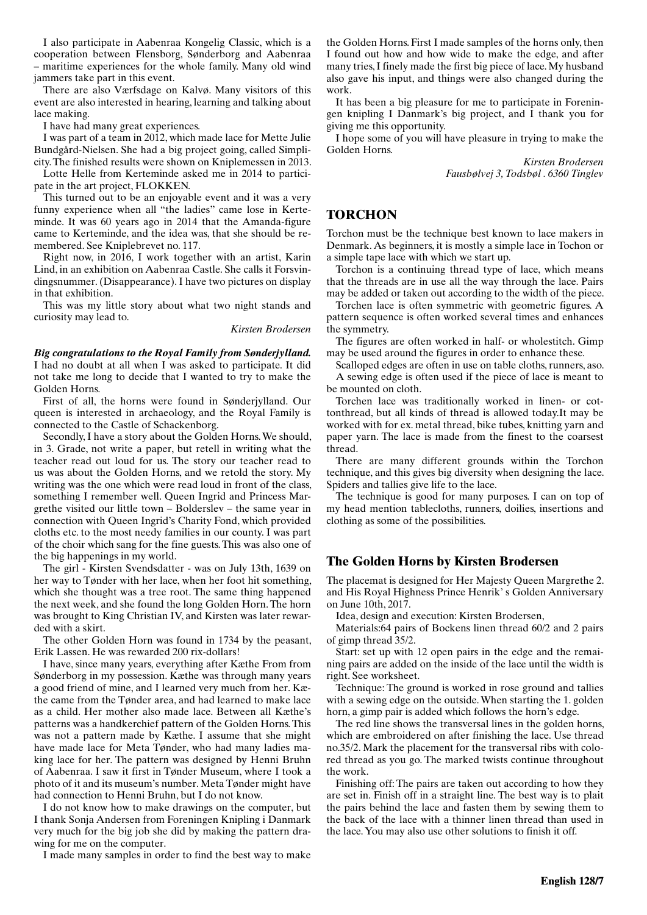I also participate in Aabenraa Kongelig Classic, which is a cooperation between Flensborg, Sønderborg and Aabenraa – maritime experiences for the whole family. Many old wind jammers take part in this event.

There are also Værfsdage on Kalvø. Many visitors of this event are also interested in hearing, learning and talking about lace making.

I have had many great experiences.

I was part of a team in 2012, which made lace for Mette Julie Bundgård-Nielsen. She had a big project going, called Simplicity. The finished results were shown on Kniplemessen in 2013.

Lotte Helle from Kerteminde asked me in 2014 to participate in the art project, FLOKKEN.

This turned out to be an enjoyable event and it was a very funny experience when all "the ladies" came lose in Kerteminde. It was 60 years ago in 2014 that the Amanda-figure came to Kerteminde, and the idea was, that she should be remembered. See Kniplebrevet no. 117.

Right now, in 2016, I work together with an artist, Karin Lind, in an exhibition on Aabenraa Castle. She calls it Forsvindingsnummer. (Disappearance). I have two pictures on display in that exhibition.

This was my little story about what two night stands and curiosity may lead to.

*Kirsten Brodersen*

*Big congratulations to the Royal Family from Sønderjylland.* I had no doubt at all when I was asked to participate. It did not take me long to decide that I wanted to try to make the Golden Horns.

First of all, the horns were found in Sønderjylland. Our queen is interested in archaeology, and the Royal Family is connected to the Castle of Schackenborg.

Secondly, I have a story about the Golden Horns. We should, in 3. Grade, not write a paper, but retell in writing what the teacher read out loud for us. The story our teacher read to us was about the Golden Horns, and we retold the story. My writing was the one which were read loud in front of the class, something I remember well. Queen Ingrid and Princess Margrethe visited our little town – Bolderslev – the same year in connection with Queen Ingrid's Charity Fond, which provided cloths etc. to the most needy families in our county. I was part of the choir which sang for the fine guests. This was also one of the big happenings in my world.

The girl - Kirsten Svendsdatter - was on July 13th, 1639 on her way to Tønder with her lace, when her foot hit something, which she thought was a tree root. The same thing happened the next week, and she found the long Golden Horn. The horn was brought to King Christian IV, and Kirsten was later rewarded with a skirt.

The other Golden Horn was found in 1734 by the peasant, Erik Lassen. He was rewarded 200 rix-dollars!

I have, since many years, everything after Kæthe From from Sønderborg in my possession. Kæthe was through many years a good friend of mine, and I learned very much from her. Kæthe came from the Tønder area, and had learned to make lace as a child. Her mother also made lace. Between all Kæthe's patterns was a handkerchief pattern of the Golden Horns. This was not a pattern made by Kæthe. I assume that she might have made lace for Meta Tønder, who had many ladies making lace for her. The pattern was designed by Henni Bruhn of Aabenraa. I saw it first in Tønder Museum, where I took a photo of it and its museum's number. Meta Tønder might have had connection to Henni Bruhn, but I do not know.

I do not know how to make drawings on the computer, but I thank Sonja Andersen from Foreningen Knipling i Danmark very much for the big job she did by making the pattern drawing for me on the computer.

I made many samples in order to find the best way to make

the Golden Horns. First I made samples of the horns only, then I found out how and how wide to make the edge, and after many tries, I finely made the first big piece of lace. My husband also gave his input, and things were also changed during the work.

It has been a big pleasure for me to participate in Foreningen knipling I Danmark's big project, and I thank you for giving me this opportunity.

I hope some of you will have pleasure in trying to make the Golden Horns.

> *Kirsten Brodersen Fausbølvej 3, Todsbøl . 6360 Tinglev*

# **TORCHON**

Torchon must be the technique best known to lace makers in Denmark. As beginners, it is mostly a simple lace in Tochon or a simple tape lace with which we start up.

Torchon is a continuing thread type of lace, which means that the threads are in use all the way through the lace. Pairs may be added or taken out according to the width of the piece.

Torchen lace is often symmetric with geometric figures. A pattern sequence is often worked several times and enhances the symmetry.

The figures are often worked in half- or wholestitch. Gimp may be used around the figures in order to enhance these.

Scalloped edges are often in use on table cloths, runners, aso. A sewing edge is often used if the piece of lace is meant to be mounted on cloth.

Torchen lace was traditionally worked in linen- or cottonthread, but all kinds of thread is allowed today.It may be worked with for ex. metal thread, bike tubes, knitting yarn and paper yarn. The lace is made from the finest to the coarsest thread.

There are many different grounds within the Torchon technique, and this gives big diversity when designing the lace. Spiders and tallies give life to the lace.

The technique is good for many purposes. I can on top of my head mention tablecloths, runners, doilies, insertions and clothing as some of the possibilities.

# **The Golden Horns by Kirsten Brodersen**

The placemat is designed for Her Majesty Queen Margrethe 2. and His Royal Highness Prince Henrik' s Golden Anniversary on June 10th, 2017.

Idea, design and execution: Kirsten Brodersen,

Materials:64 pairs of Bockens linen thread 60/2 and 2 pairs of gimp thread 35/2.

Start: set up with 12 open pairs in the edge and the remaining pairs are added on the inside of the lace until the width is right. See worksheet.

Technique: The ground is worked in rose ground and tallies with a sewing edge on the outside. When starting the 1. golden horn, a gimp pair is added which follows the horn's edge.

The red line shows the transversal lines in the golden horns, which are embroidered on after finishing the lace. Use thread no.35/2. Mark the placement for the transversal ribs with colored thread as you go. The marked twists continue throughout the work.

Finishing off: The pairs are taken out according to how they are set in. Finish off in a straight line. The best way is to plait the pairs behind the lace and fasten them by sewing them to the back of the lace with a thinner linen thread than used in the lace. You may also use other solutions to finish it off.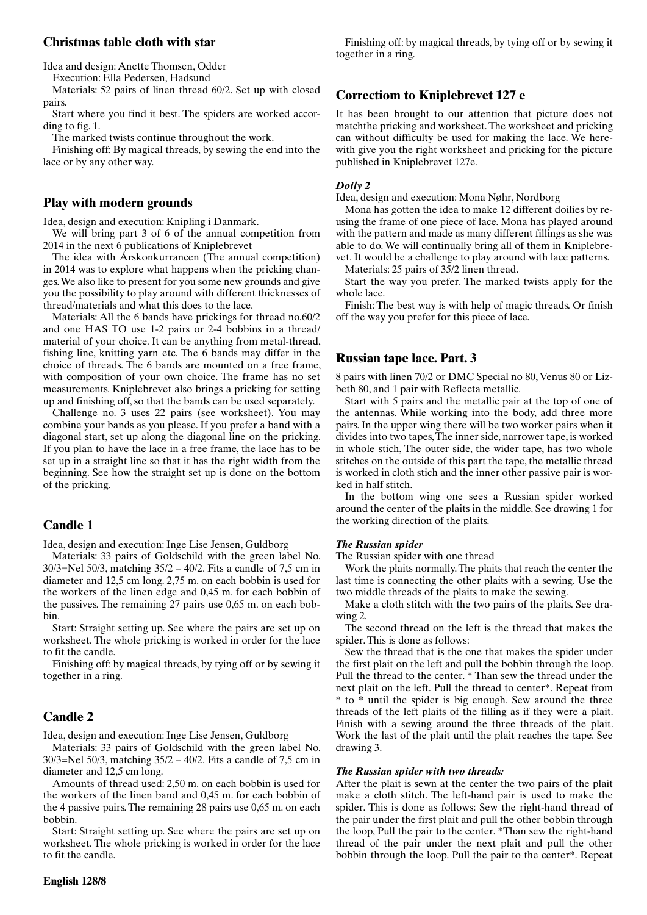## **Christmas table cloth with star**

Idea and design: Anette Thomsen, Odder

Execution: Ella Pedersen, Hadsund

Materials: 52 pairs of linen thread 60/2. Set up with closed pairs.

Start where you find it best. The spiders are worked according to fig. 1.

The marked twists continue throughout the work.

Finishing off: By magical threads, by sewing the end into the lace or by any other way.

## **Play with modern grounds**

Idea, design and execution: Knipling i Danmark.

We will bring part 3 of 6 of the annual competition from 2014 in the next 6 publications of Kniplebrevet

The idea with Årskonkurrancen (The annual competition) in 2014 was to explore what happens when the pricking changes. We also like to present for you some new grounds and give you the possibility to play around with different thicknesses of thread/materials and what this does to the lace.

Materials: All the 6 bands have prickings for thread no.60/2 and one HAS TO use 1-2 pairs or 2-4 bobbins in a thread/ material of your choice. It can be anything from metal-thread, fishing line, knitting yarn etc. The 6 bands may differ in the choice of threads. The 6 bands are mounted on a free frame, with composition of your own choice. The frame has no set measurements. Kniplebrevet also brings a pricking for setting up and finishing off, so that the bands can be used separately.

Challenge no. 3 uses 22 pairs (see worksheet). You may combine your bands as you please. If you prefer a band with a diagonal start, set up along the diagonal line on the pricking. If you plan to have the lace in a free frame, the lace has to be set up in a straight line so that it has the right width from the beginning. See how the straight set up is done on the bottom of the pricking.

# **Candle 1**

Idea, design and execution: Inge Lise Jensen, Guldborg

Materials: 33 pairs of Goldschild with the green label No. 30/3=Nel 50/3, matching 35/2 – 40/2. Fits a candle of 7,5 cm in diameter and 12,5 cm long. 2,75 m. on each bobbin is used for the workers of the linen edge and 0,45 m. for each bobbin of the passives. The remaining 27 pairs use 0,65 m. on each bobbin.

Start: Straight setting up. See where the pairs are set up on worksheet. The whole pricking is worked in order for the lace to fit the candle.

Finishing off: by magical threads, by tying off or by sewing it together in a ring.

## **Candle 2**

Idea, design and execution: Inge Lise Jensen, Guldborg

Materials: 33 pairs of Goldschild with the green label No. 30/3=Nel 50/3, matching 35/2 – 40/2. Fits a candle of 7,5 cm in diameter and 12,5 cm long.

Amounts of thread used: 2,50 m. on each bobbin is used for the workers of the linen band and 0,45 m. for each bobbin of the 4 passive pairs. The remaining 28 pairs use 0,65 m. on each bobbin.

Start: Straight setting up. See where the pairs are set up on worksheet. The whole pricking is worked in order for the lace to fit the candle.

Finishing off: by magical threads, by tying off or by sewing it together in a ring.

## **Correctiom to Kniplebrevet 127 e**

It has been brought to our attention that picture does not matchthe pricking and worksheet. The worksheet and pricking can without difficulty be used for making the lace. We herewith give you the right worksheet and pricking for the picture published in Kniplebrevet 127e.

### *Doily 2*

Idea, design and execution: Mona Nøhr, Nordborg

Mona has gotten the idea to make 12 different doilies by reusing the frame of one piece of lace. Mona has played around with the pattern and made as many different fillings as she was able to do. We will continually bring all of them in Kniplebrevet. It would be a challenge to play around with lace patterns.

Materials: 25 pairs of 35/2 linen thread.

Start the way you prefer. The marked twists apply for the whole lace.

Finish: The best way is with help of magic threads. Or finish off the way you prefer for this piece of lace.

### **Russian tape lace. Part. 3**

8 pairs with linen 70/2 or DMC Special no 80, Venus 80 or Lizbeth 80, and 1 pair with Reflecta metallic.

Start with 5 pairs and the metallic pair at the top of one of the antennas. While working into the body, add three more pairs. In the upper wing there will be two worker pairs when it divides into two tapes, The inner side, narrower tape, is worked in whole stich, The outer side, the wider tape, has two whole stitches on the outside of this part the tape, the metallic thread is worked in cloth stich and the inner other passive pair is worked in half stitch.

In the bottom wing one sees a Russian spider worked around the center of the plaits in the middle. See drawing 1 for the working direction of the plaits.

#### *The Russian spider*

The Russian spider with one thread

Work the plaits normally. The plaits that reach the center the last time is connecting the other plaits with a sewing. Use the two middle threads of the plaits to make the sewing.

Make a cloth stitch with the two pairs of the plaits. See drawing 2.

The second thread on the left is the thread that makes the spider. This is done as follows:

Sew the thread that is the one that makes the spider under the first plait on the left and pull the bobbin through the loop. Pull the thread to the center. \* Than sew the thread under the next plait on the left. Pull the thread to center\*. Repeat from \* to \* until the spider is big enough. Sew around the three threads of the left plaits of the filling as if they were a plait. Finish with a sewing around the three threads of the plait. Work the last of the plait until the plait reaches the tape. See drawing 3.

#### *The Russian spider with two threads:*

After the plait is sewn at the center the two pairs of the plait make a cloth stitch. The left-hand pair is used to make the spider. This is done as follows: Sew the right-hand thread of the pair under the first plait and pull the other bobbin through the loop, Pull the pair to the center. \*Than sew the right-hand thread of the pair under the next plait and pull the other bobbin through the loop. Pull the pair to the center\*. Repeat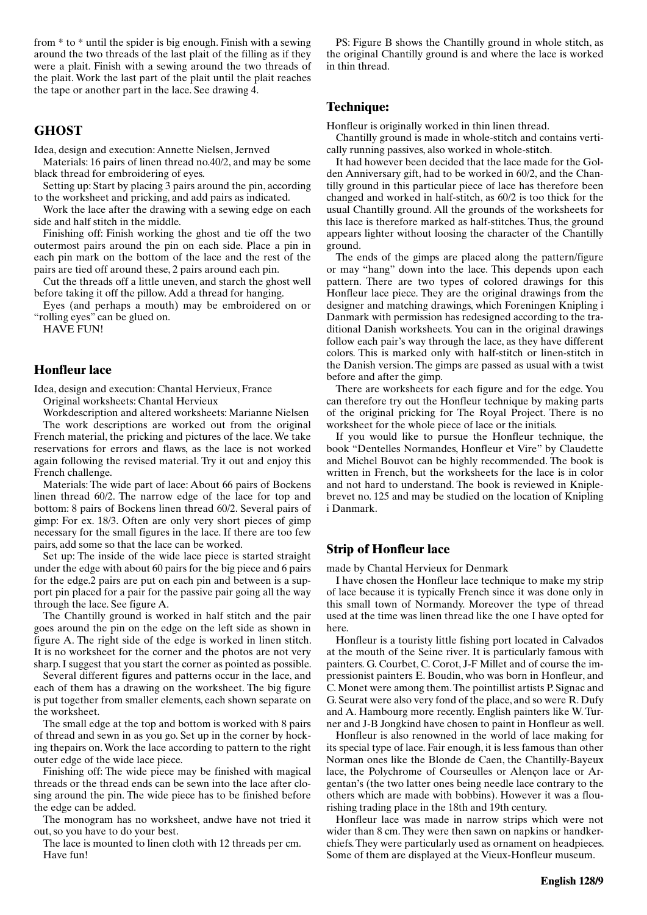from \* to \* until the spider is big enough. Finish with a sewing around the two threads of the last plait of the filling as if they were a plait. Finish with a sewing around the two threads of the plait. Work the last part of the plait until the plait reaches the tape or another part in the lace. See drawing 4.

## **GHOST**

Idea, design and execution: Annette Nielsen, Jernved

Materials: 16 pairs of linen thread no.40/2, and may be some black thread for embroidering of eyes.

Setting up: Start by placing 3 pairs around the pin, according to the worksheet and pricking, and add pairs as indicated.

Work the lace after the drawing with a sewing edge on each side and half stitch in the middle.

Finishing off: Finish working the ghost and tie off the two outermost pairs around the pin on each side. Place a pin in each pin mark on the bottom of the lace and the rest of the pairs are tied off around these, 2 pairs around each pin.

Cut the threads off a little uneven, and starch the ghost well before taking it off the pillow. Add a thread for hanging.

Eyes (and perhaps a mouth) may be embroidered on or "rolling eyes" can be glued on.

HAVE FUN!

## **Honfleur lace**

Idea, design and execution: Chantal Hervieux, France

Original worksheets: Chantal Hervieux

Workdescription and altered worksheets: Marianne Nielsen The work descriptions are worked out from the original French material, the pricking and pictures of the lace. We take reservations for errors and flaws, as the lace is not worked again following the revised material. Try it out and enjoy this French challenge.

Materials: The wide part of lace: About 66 pairs of Bockens linen thread 60/2. The narrow edge of the lace for top and bottom: 8 pairs of Bockens linen thread 60/2. Several pairs of gimp: For ex. 18/3. Often are only very short pieces of gimp necessary for the small figures in the lace. If there are too few pairs, add some so that the lace can be worked.

Set up: The inside of the wide lace piece is started straight under the edge with about 60 pairs for the big piece and 6 pairs for the edge.2 pairs are put on each pin and between is a support pin placed for a pair for the passive pair going all the way through the lace. See figure A.

The Chantilly ground is worked in half stitch and the pair goes around the pin on the edge on the left side as shown in figure A. The right side of the edge is worked in linen stitch. It is no worksheet for the corner and the photos are not very sharp. I suggest that you start the corner as pointed as possible.

Several different figures and patterns occur in the lace, and each of them has a drawing on the worksheet. The big figure is put together from smaller elements, each shown separate on the worksheet.

The small edge at the top and bottom is worked with 8 pairs of thread and sewn in as you go. Set up in the corner by hocking thepairs on. Work the lace according to pattern to the right outer edge of the wide lace piece.

Finishing off: The wide piece may be finished with magical threads or the thread ends can be sewn into the lace after closing around the pin. The wide piece has to be finished before the edge can be added.

The monogram has no worksheet, andwe have not tried it out, so you have to do your best.

The lace is mounted to linen cloth with 12 threads per cm. Have fun!

PS: Figure B shows the Chantilly ground in whole stitch, as the original Chantilly ground is and where the lace is worked in thin thread.

# **Technique:**

Honfleur is originally worked in thin linen thread.

Chantilly ground is made in whole-stitch and contains vertically running passives, also worked in whole-stitch.

It had however been decided that the lace made for the Golden Anniversary gift, had to be worked in 60/2, and the Chantilly ground in this particular piece of lace has therefore been changed and worked in half-stitch, as 60/2 is too thick for the usual Chantilly ground. All the grounds of the worksheets for this lace is therefore marked as half-stitches. Thus, the ground appears lighter without loosing the character of the Chantilly ground.

The ends of the gimps are placed along the pattern/figure or may "hang" down into the lace. This depends upon each pattern. There are two types of colored drawings for this Honfleur lace piece. They are the original drawings from the designer and matching drawings, which Foreningen Knipling i Danmark with permission has redesigned according to the traditional Danish worksheets. You can in the original drawings follow each pair's way through the lace, as they have different colors. This is marked only with half-stitch or linen-stitch in the Danish version. The gimps are passed as usual with a twist before and after the gimp.

There are worksheets for each figure and for the edge. You can therefore try out the Honfleur technique by making parts of the original pricking for The Royal Project. There is no worksheet for the whole piece of lace or the initials.

If you would like to pursue the Honfleur technique, the book "Dentelles Normandes, Honfleur et Vire" by Claudette and Michel Bouvot can be highly recommended. The book is written in French, but the worksheets for the lace is in color and not hard to understand. The book is reviewed in Kniplebrevet no. 125 and may be studied on the location of Knipling i Danmark.

# **Strip of Honfleur lace**

made by Chantal Hervieux for Denmark

I have chosen the Honfleur lace technique to make my strip of lace because it is typically French since it was done only in this small town of Normandy. Moreover the type of thread used at the time was linen thread like the one I have opted for here.

Honfleur is a touristy little fishing port located in Calvados at the mouth of the Seine river. It is particularly famous with painters. G. Courbet, C. Corot, J-F Millet and of course the impressionist painters E. Boudin, who was born in Honfleur, and C. Monet were among them. The pointillist artists P. Signac and G. Seurat were also very fond of the place, and so were R. Dufy and A. Hambourg more recently. English painters like W. Turner and J-B Jongkind have chosen to paint in Honfleur as well.

Honfleur is also renowned in the world of lace making for its special type of lace. Fair enough, it is less famous than other Norman ones like the Blonde de Caen, the Chantilly-Bayeux lace, the Polychrome of Courseulles or Alençon lace or Argentan's (the two latter ones being needle lace contrary to the others which are made with bobbins). However it was a flourishing trading place in the 18th and 19th century.

Honfleur lace was made in narrow strips which were not wider than 8 cm. They were then sawn on napkins or handkerchiefs. They were particularly used as ornament on headpieces. Some of them are displayed at the Vieux-Honfleur museum.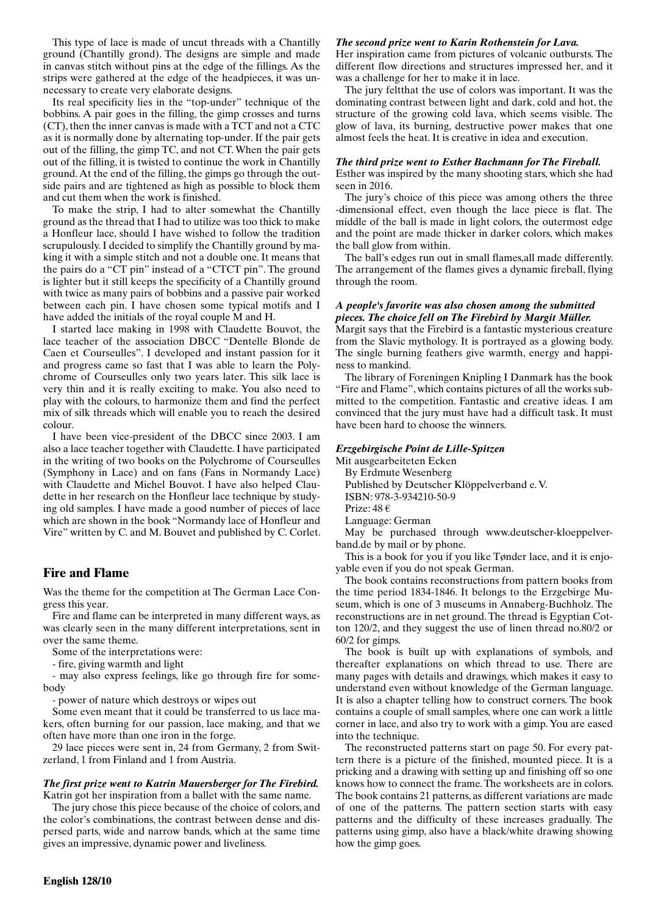This type of lace is made of uncut threads with a Chantilly ground (Chantilly grond). The designs are simple and made in canvas stitch without pins at the edge of the fillings. As the strips were gathered at the edge of the headpieces, it was unnecessary to create very elaborate designs.

Its real specificity lies in the "top-under" technique of the bobbins. A pair goes in the filling, the gimp crosses and turns (CT), then the inner canvas is made with a TCT and not a CTC as it is normally done by alternating top-under. If the pair gets out of the filling, the gimp TC, and not CT. When the pair gets out of the filling, it is twisted to continue the work in Chantilly ground. At the end of the filling, the gimps go through the outside pairs and are tightened as high as possible to block them and cut them when the work is finished.

To make the strip, I had to alter somewhat the Chantilly ground as the thread that I had to utilize was too thick to make a Honfleur lace, should I have wished to follow the tradition scrupulously. I decided to simplify the Chantilly ground by making it with a simple stitch and not a double one. It means that the pairs do a "CT pin" instead of a "CTCT pin". The ground is lighter but it still keeps the specificity of a Chantilly ground with twice as many pairs of bobbins and a passive pair worked between each pin. I have chosen some typical motifs and I have added the initials of the royal couple M and H.

I started lace making in 1998 with Claudette Bouvot, the lace teacher of the association DBCC "Dentelle Blonde de Caen et Courseulles". I developed and instant passion for it and progress came so fast that I was able to learn the Polychrome of Courseulles only two years later. This silk lace is very thin and it is really exciting to make. You also need to play with the colours, to harmonize them and find the perfect mix of silk threads which will enable you to reach the desired colour.

I have been vice-president of the DBCC since 2003. I am also a lace teacher together with Claudette. I have participated in the writing of two books on the Polychrome of Courseulles (Symphony in Lace) and on fans (Fans in Normandy Lace) with Claudette and Michel Bouvot. I have also helped Claudette in her research on the Honfleur lace technique by studying old samples. I have made a good number of pieces of lace which are shown in the book "Normandy lace of Honfleur and Vire" written by C. and M. Bouvet and published by C. Corlet.

# **Fire and Flame**

Was the theme for the competition at The German Lace Congress this year.

Fire and flame can be interpreted in many different ways, as was clearly seen in the many different interpretations, sent in over the same theme.

Some of the interpretations were:

- fire, giving warmth and light

- may also express feelings, like go through fire for somebody

- power of nature which destroys or wipes out

Some even meant that it could be transferred to us lace makers, often burning for our passion, lace making, and that we often have more than one iron in the forge.

29 lace pieces were sent in, 24 from Germany, 2 from Switzerland, 1 from Finland and 1 from Austria.

### *The first prize went to Katrin Mauersberger for The Firebird.* Katrin got her inspiration from a ballet with the same name.

The jury chose this piece because of the choice of colors, and the color's combinations, the contrast between dense and dispersed parts, wide and narrow bands, which at the same time gives an impressive, dynamic power and liveliness.

### *The second prize went to Karin Rothenstein for Lava.*

Her inspiration came from pictures of volcanic outbursts. The different flow directions and structures impressed her, and it was a challenge for her to make it in lace.

The jury feltthat the use of colors was important. It was the dominating contrast between light and dark, cold and hot, the structure of the growing cold lava, which seems visible. The glow of lava, its burning, destructive power makes that one almost feels the heat. It is creative in idea and execution.

### *The third prize went to Esther Bachmann for The Fireball.*

Esther was inspired by the many shooting stars, which she had seen in 2016.

The jury's choice of this piece was among others the three -dimensional effect, even though the lace piece is flat. The middle of the ball is made in light colors, the outermost edge and the point are made thicker in darker colors, which makes the ball glow from within.

The ball's edges run out in small flames,all made differently. The arrangement of the flames gives a dynamic fireball, flying through the room.

### *A people's favorite was also chosen among the submitted pieces. The choice fell on The Firebird by Margit Müller.*

Margit says that the Firebird is a fantastic mysterious creature from the Slavic mythology. It is portrayed as a glowing body. The single burning feathers give warmth, energy and happiness to mankind.

The library of Foreningen Knipling I Danmark has the book "Fire and Flame", which contains pictures of all the works submitted to the competition. Fantastic and creative ideas. I am convinced that the jury must have had a difficult task. It must have been hard to choose the winners.

## *Erzgebirgische Point de Lille-Spitzen*

Mit ausgearbeiteten Ecken

By Erdmute Wesenberg

Published by Deutscher Klöppelverband e. V.

ISBN: 978-3-934210-50-9

Prize: 48 €

Language: German

May be purchased through www.deutscher-kloeppelverband.de by mail or by phone.

This is a book for you if you like Tønder lace, and it is enjoyable even if you do not speak German.

The book contains reconstructions from pattern books from the time period 1834-1846. It belongs to the Erzgebirge Museum, which is one of 3 museums in Annaberg-Buchholz. The reconstructions are in net ground. The thread is Egyptian Cotton 120/2, and they suggest the use of linen thread no.80/2 or 60/2 for gimps.

The book is built up with explanations of symbols, and thereafter explanations on which thread to use. There are many pages with details and drawings, which makes it easy to understand even without knowledge of the German language. It is also a chapter telling how to construct corners. The book contains a couple of small samples, where one can work a little corner in lace, and also try to work with a gimp. You are eased into the technique.

The reconstructed patterns start on page 50. For every pattern there is a picture of the finished, mounted piece. It is a pricking and a drawing with setting up and finishing off so one knows how to connect the frame. The worksheets are in colors. The book contains 21 patterns, as different variations are made of one of the patterns. The pattern section starts with easy patterns and the difficulty of these increases gradually. The patterns using gimp, also have a black/white drawing showing how the gimp goes.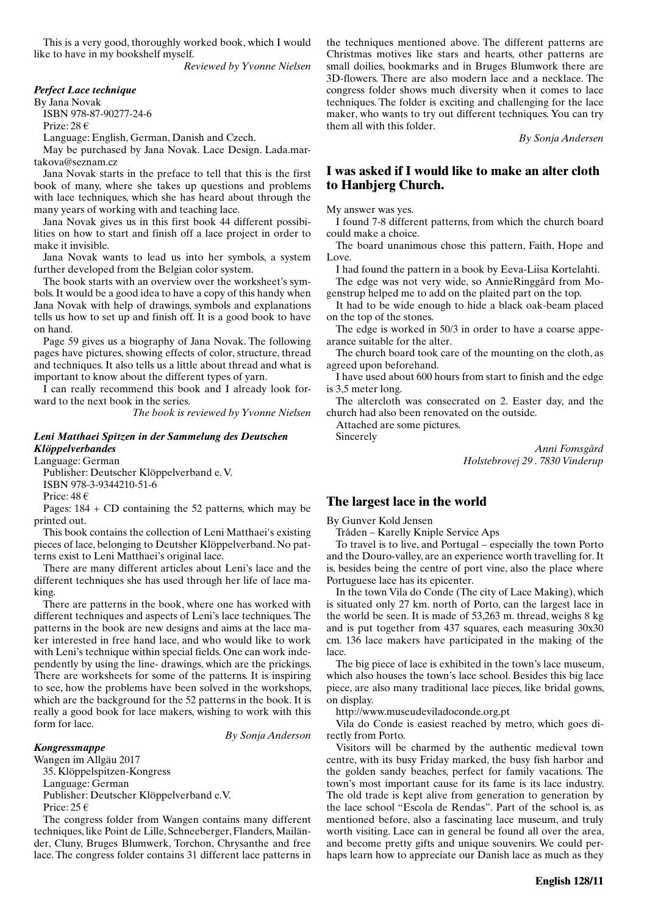This is a very good, thoroughly worked book, which I would like to have in my bookshelf myself.

*Reviewed by Yvonne Nielsen*

### *Perfect Lace technique*

By Jana Novak

ISBN 978-87-90277-24-6 Prize: 28 €

Language: English, German, Danish and Czech.

May be purchased by Jana Novak. Lace Design. Lada.martakova@seznam.cz

Jana Novak starts in the preface to tell that this is the first book of many, where she takes up questions and problems with lace techniques, which she has heard about through the many years of working with and teaching lace.

Jana Novak gives us in this first book 44 different possibilities on how to start and finish off a lace project in order to make it invisible.

Jana Novak wants to lead us into her symbols, a system further developed from the Belgian color system.

The book starts with an overview over the worksheet's symbols. It would be a good idea to have a copy of this handy when Jana Novak with help of drawings, symbols and explanations tells us how to set up and finish off. It is a good book to have on hand.

Page 59 gives us a biography of Jana Novak. The following pages have pictures, showing effects of color, structure, thread and techniques. It also tells us a little about thread and what is important to know about the different types of yarn.

I can really recommend this book and I already look forward to the next book in the series.

*The book is reviewed by Yvonne Nielsen*

### *Leni Matthaei Spitzen in der Sammelung des Deutschen Klöppelverbandes*

Language: German

Publisher: Deutscher Klöppelverband e. V. ISBN 978-3-9344210-51-6

Price: 48 €

Pages:  $184 + CD$  containing the 52 patterns, which may be printed out.

This book contains the collection of Leni Matthaei's existing pieces of lace, belonging to Deutsher Klöppelverband. No patterns exist to Leni Matthaei's original lace.

There are many different articles about Leni's lace and the different techniques she has used through her life of lace making.

There are patterns in the book, where one has worked with different techniques and aspects of Leni's lace techniques. The patterns in the book are new designs and aims at the lace maker interested in free hand lace, and who would like to work with Leni's technique within special fields. One can work independently by using the line- drawings, which are the prickings. There are worksheets for some of the patterns. It is inspiring to see, how the problems have been solved in the workshops, which are the background for the 52 patterns in the book. It is really a good book for lace makers, wishing to work with this form for lace.

*By Sonja Anderson*

#### *Kongressmappe*

Wangen im Allgäu 2017

35. Klöppelspitzen-Kongress

Language: German

Publisher: Deutscher Klöppelverband e.V.

Price: 25  $\epsilon$ 

The congress folder from Wangen contains many different techniques, like Point de Lille, Schneeberger, Flanders, Mailänder, Cluny, Bruges Blumwerk, Torchon, Chrysanthe and free lace. The congress folder contains 31 different lace patterns in

the techniques mentioned above. The different patterns are Christmas motives like stars and hearts, other patterns are small doilies, bookmarks and in Bruges Blumwork there are 3D-flowers. There are also modern lace and a necklace. The congress folder shows much diversity when it comes to lace techniques. The folder is exciting and challenging for the lace maker, who wants to try out different techniques. You can try them all with this folder.

*By Sonja Andersen*

## **I was asked if I would like to make an alter cloth to Hanbjerg Church.**

My answer was yes.

I found 7-8 different patterns, from which the church board could make a choice.

The board unanimous chose this pattern, Faith, Hope and Love.

I had found the pattern in a book by Eeva-Liisa Kortelahti.

The edge was not very wide, so AnnieRinggård from Mogenstrup helped me to add on the plaited part on the top.

It had to be wide enough to hide a black oak-beam placed on the top of the stones.

The edge is worked in 50/3 in order to have a coarse appearance suitable for the alter.

The church board took care of the mounting on the cloth, as agreed upon beforehand.

I have used about 600 hours from start to finish and the edge is 3,5 meter long.

The altercloth was consecrated on 2. Easter day, and the church had also been renovated on the outside.

Attached are some pictures.

Sincerely

*Anni Fomsgård Holstebrovej 29 . 7830 Vinderup*

## **The largest lace in the world**

By Gunver Kold Jensen

Tråden – Karelly Kniple Service Aps

To travel is to live, and Portugal – especially the town Porto and the Douro-valley, are an experience worth travelling for. It is, besides being the centre of port vine, also the place where Portuguese lace has its epicenter.

In the town Vila do Conde (The city of Lace Making), which is situated only 27 km. north of Porto, can the largest lace in the world be seen. It is made of 53,263 m. thread, weighs 8 kg and is put together from 437 squares, each measuring 30x30 cm. 136 lace makers have participated in the making of the lace.

The big piece of lace is exhibited in the town's lace museum, which also houses the town's lace school. Besides this big lace piece, are also many traditional lace pieces, like bridal gowns, on display.

http://www.museudeviladoconde.org.pt

Vila do Conde is easiest reached by metro, which goes directly from Porto.

Visitors will be charmed by the authentic medieval town centre, with its busy Friday marked, the busy fish harbor and the golden sandy beaches, perfect for family vacations. The town's most important cause for its fame is its lace industry. The old trade is kept alive from generation to generation by the lace school "Escola de Rendas". Part of the school is, as mentioned before, also a fascinating lace museum, and truly worth visiting. Lace can in general be found all over the area, and become pretty gifts and unique souvenirs. We could perhaps learn how to appreciate our Danish lace as much as they